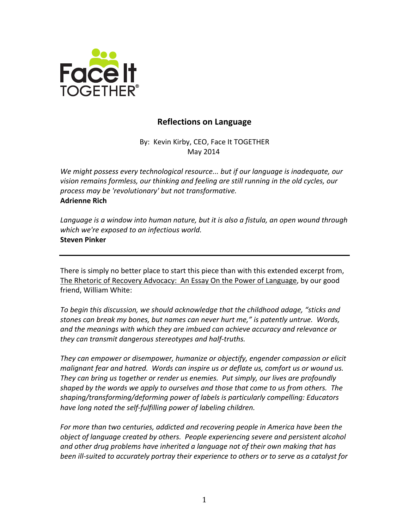

# **Reflections on Language**

By: Kevin Kirby, CEO, Face It TOGETHER May 2014

We might possess every technological resource... but if our language is inadequate, our vision remains formless, our thinking and feeling are still running in the old cycles, our process may be 'revolutionary' but not transformative. **Adrienne Rich**

Language is a window into human nature, but it is also a fistula, an open wound through *which* we're exposed to an infectious world. **Steven Pinker**

There is simply no better place to start this piece than with this extended excerpt from, The Rhetoric of Recovery Advocacy: An Essay On the Power of Language, by our good friend, William White:

To begin this discussion, we should acknowledge that the childhood adage, "sticks and stones can break my bones, but names can never hurt me," is patently untrue. Words, and the meanings with which they are imbued can achieve accuracy and relevance or they can transmit dangerous stereotypes and half-truths.

They can empower or disempower, humanize or objectify, engender compassion or elicit malignant fear and hatred. Words can inspire us or deflate us, comfort us or wound us. They can bring us together or render us enemies. Put simply, our lives are profoundly *shaped by the words we apply to ourselves and those that come to us from others. The* shaping/transforming/deforming power of labels is particularly compelling: Educators have long noted the self-fulfilling power of labeling children.

For more than two centuries, addicted and recovering people in America have been the *object* of language created by others. People experiencing severe and persistent alcohol and other drug problems have inherited a language not of their own making that has *been ill-suited to accurately portray their experience to others or to serve as a catalyst for*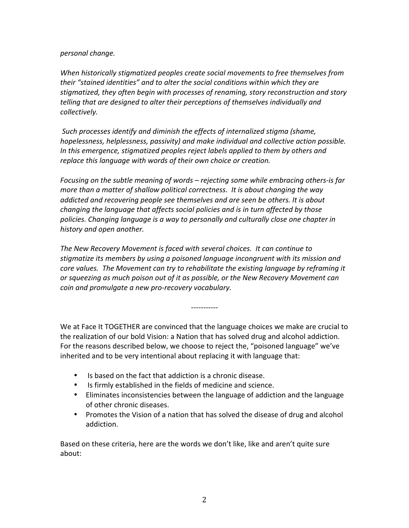### *personal change.*

When historically stigmatized peoples create social movements to free themselves from *their* "stained identities" and to alter the social conditions within which they are stigmatized, they often begin with processes of renaming, story reconstruction and story *telling* that are designed to alter their perceptions of themselves individually and *collectively.*

Such processes *identify* and diminish the effects of internalized stigma (shame, hopelessness, helplessness, passivity) and make individual and collective action possible. *In* this emergence, stigmatized peoples reject labels applied to them by others and *replace this language with words of their own choice or creation.* 

*Focusing* on the subtle meaning of words – rejecting some while embracing others-is far *more than a matter of shallow political correctness. It is about changing the way addicted* and recovering people see themselves and are seen be others. It is about *changing* the language that affects social policies and is in turn affected by those policies. Changing language is a way to personally and culturally close one chapter in history and open another.

The New Recovery Movement is faced with several choices. It can continue to *stigmatize its members by using a poisoned language incongruent with its mission and core values.* The Movement can try to rehabilitate the existing language by reframing it or squeezing as much poison out of it as possible, or the New Recovery Movement can *coin and promulgate a new pro-recovery vocabulary.* 

We at Face It TOGETHER are convinced that the language choices we make are crucial to the realization of our bold Vision: a Nation that has solved drug and alcohol addiction. For the reasons described below, we choose to reject the, "poisoned language" we've inherited and to be very intentional about replacing it with language that:

*-----------*

- Is based on the fact that addiction is a chronic disease.
- Is firmly established in the fields of medicine and science.
- Eliminates inconsistencies between the language of addiction and the language of other chronic diseases.
- Promotes the Vision of a nation that has solved the disease of drug and alcohol addiction.

Based on these criteria, here are the words we don't like, like and aren't quite sure about: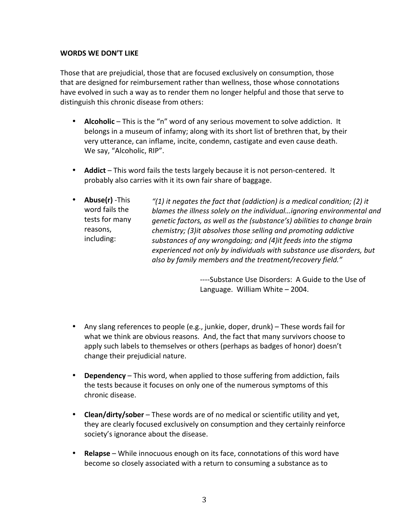### **WORDS WE DON'T LIKE**

Those that are prejudicial, those that are focused exclusively on consumption, those that are designed for reimbursement rather than wellness, those whose connotations have evolved in such a way as to render them no longer helpful and those that serve to distinguish this chronic disease from others:

- **Alcoholic** This is the "n" word of any serious movement to solve addiction. It belongs in a museum of infamy; along with its short list of brethren that, by their very utterance, can inflame, incite, condemn, castigate and even cause death. We say, "Alcoholic, RIP".
- **Addict** This word fails the tests largely because it is not person-centered. It probably also carries with it its own fair share of baggage.
- **Abuse(r)** -This word fails the tests for many reasons, including: "(1) it negates the fact that (addiction) is a medical condition; (2) it *blames the illness solely on the individual...ignoring environmental and genetic factors, as well as the (substance's) abilities to change brain chemistry;* (3)it absolves those selling and promoting addictive substances of any wrongdoing; and (4) it feeds into the stigma experienced not only by individuals with substance use disorders, but also by family members and the treatment/recovery field."

----Substance Use Disorders: A Guide to the Use of Language. William White  $-$  2004.

- Any slang references to people (e.g., junkie, doper, drunk) These words fail for what we think are obvious reasons. And, the fact that many survivors choose to apply such labels to themselves or others (perhaps as badges of honor) doesn't change their prejudicial nature.
- Dependency This word, when applied to those suffering from addiction, fails the tests because it focuses on only one of the numerous symptoms of this chronic disease.
- **Clean/dirty/sober** These words are of no medical or scientific utility and yet, they are clearly focused exclusively on consumption and they certainly reinforce society's ignorance about the disease.
- **Relapse** While innocuous enough on its face, connotations of this word have become so closely associated with a return to consuming a substance as to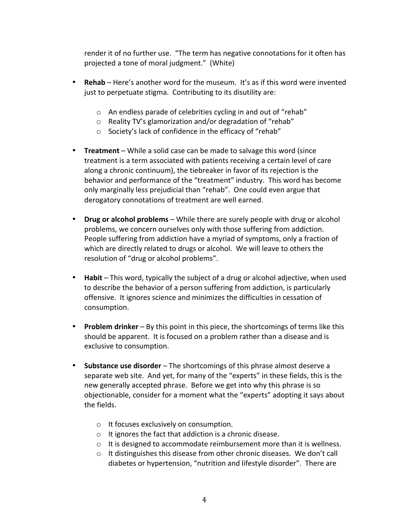render it of no further use. "The term has negative connotations for it often has projected a tone of moral judgment." (White)

- **Rehab** Here's another word for the museum. It's as if this word were invented just to perpetuate stigma. Contributing to its disutility are:
	- $\circ$  An endless parade of celebrities cycling in and out of "rehab"
	- $\circ$  Reality TV's glamorization and/or degradation of "rehab"
	- $\circ$  Society's lack of confidence in the efficacy of "rehab"
- **Treatment** While a solid case can be made to salvage this word (since treatment is a term associated with patients receiving a certain level of care along a chronic continuum), the tiebreaker in favor of its rejection is the behavior and performance of the "treatment" industry. This word has become only marginally less prejudicial than "rehab". One could even argue that derogatory connotations of treatment are well earned.
- **Drug or alcohol problems** While there are surely people with drug or alcohol problems, we concern ourselves only with those suffering from addiction. People suffering from addiction have a myriad of symptoms, only a fraction of which are directly related to drugs or alcohol. We will leave to others the resolution of "drug or alcohol problems".
- **Habit** This word, typically the subject of a drug or alcohol adjective, when used to describe the behavior of a person suffering from addiction, is particularly offensive. It ignores science and minimizes the difficulties in cessation of consumption.
- **Problem drinker** By this point in this piece, the shortcomings of terms like this should be apparent. It is focused on a problem rather than a disease and is exclusive to consumption.
- **Substance use disorder** The shortcomings of this phrase almost deserve a separate web site. And yet, for many of the "experts" in these fields, this is the new generally accepted phrase. Before we get into why this phrase is so objectionable, consider for a moment what the "experts" adopting it says about the fields.
	- $\circ$  It focuses exclusively on consumption.
	- $\circ$  It ignores the fact that addiction is a chronic disease.
	- $\circ$  It is designed to accommodate reimbursement more than it is wellness.
	- $\circ$  It distinguishes this disease from other chronic diseases. We don't call diabetes or hypertension, "nutrition and lifestyle disorder". There are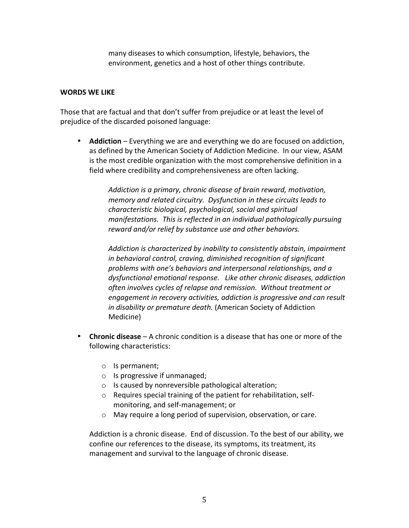many diseases to which consumption, lifestyle, behaviors, the environment, genetics and a host of other things contribute.

#### **WORDS WE LIKE**

Those that are factual and that don't suffer from prejudice or at least the level of prejudice of the discarded poisoned language:

• **Addiction** – Everything we are and everything we do are focused on addiction, as defined by the American Society of Addiction Medicine. In our view, ASAM is the most credible organization with the most comprehensive definition in a field where credibility and comprehensiveness are often lacking.

> Addiction is a primary, chronic disease of brain reward, motivation, *memory* and related circuitry. Dysfunction in these circuits leads to *characteristic biological, psychological, social and spiritual manifestations.* This is reflected in an individual pathologically pursuing reward and/or relief by substance use and other behaviors.

Addiction is characterized by inability to consistently abstain, impairment in behavioral control, craving, diminished recognition of significant problems with one's behaviors and interpersonal relationships, and a dysfunctional emotional response. Like other chronic diseases, addiction often involves cycles of relapse and remission. Without treatment or *engagement in recovery activities, addiction is progressive and can result in disability or premature death.* (American Society of Addiction Medicine)

- Chronic disease A chronic condition is a disease that has one or more of the following characteristics:
	- o Is permanent;
	- $\circ$  Is progressive if unmanaged;
	- $\circ$  Is caused by nonreversible pathological alteration;
	- $\circ$  Requires special training of the patient for rehabilitation, selfmonitoring, and self-management; or
	- $\circ$  May require a long period of supervision, observation, or care.

Addiction is a chronic disease. End of discussion. To the best of our ability, we confine our references to the disease, its symptoms, its treatment, its management and survival to the language of chronic disease.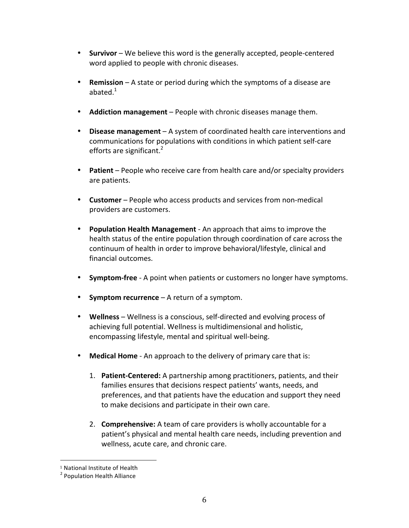- **Survivor** We believe this word is the generally accepted, people-centered word applied to people with chronic diseases.
- **Remission** A state or period during which the symptoms of a disease are abated. $1$
- **Addiction management** People with chronic diseases manage them.
- **Disease management** A system of coordinated health care interventions and communications for populations with conditions in which patient self-care efforts are significant. $2$
- **Patient** People who receive care from health care and/or specialty providers are patients.
- **Customer** People who access products and services from non-medical providers are customers.
- **Population Health Management** An approach that aims to improve the health status of the entire population through coordination of care across the continuum of health in order to improve behavioral/lifestyle, clinical and financial outcomes.
- **Symptom-free** A point when patients or customers no longer have symptoms.
- **Symptom recurrence** A return of a symptom.
- Wellness Wellness is a conscious, self-directed and evolving process of achieving full potential. Wellness is multidimensional and holistic, encompassing lifestyle, mental and spiritual well-being.
- **Medical Home** An approach to the delivery of primary care that is:
	- 1. Patient-Centered: A partnership among practitioners, patients, and their families ensures that decisions respect patients' wants, needs, and preferences, and that patients have the education and support they need to make decisions and participate in their own care.
	- 2. **Comprehensive:** A team of care providers is wholly accountable for a patient's physical and mental health care needs, including prevention and wellness, acute care, and chronic care.

 

<sup>&</sup>lt;sup>1</sup> National Institute of Health

<sup>&</sup>lt;sup>2</sup> Population Health Alliance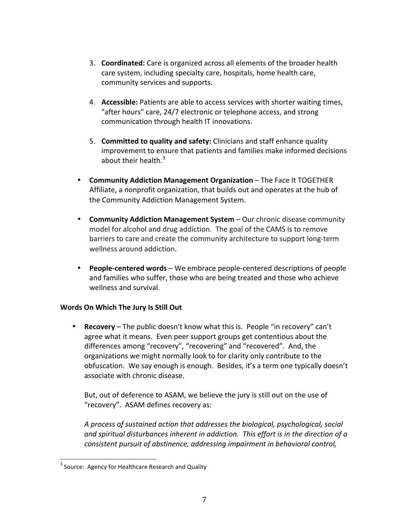- 3. **Coordinated:** Care is organized across all elements of the broader health care system, including specialty care, hospitals, home health care, community services and supports.
- 4. **Accessible:** Patients are able to access services with shorter waiting times, "after hours" care, 24/7 electronic or telephone access, and strong communication through health IT innovations.
- 5. **Committed to quality and safety:** Clinicians and staff enhance quality improvement to ensure that patients and families make informed decisions about their health. $3$
- **Community Addiction Management Organization** The Face It TOGETHER Affiliate, a nonprofit organization, that builds out and operates at the hub of the Community Addiction Management System.
- **Community Addiction Management System** Our chronic disease community model for alcohol and drug addiction. The goal of the CAMS is to remove barriers to care and create the community architecture to support long-term wellness around addiction.
- **People-centered words** We embrace people-centered descriptions of people and families who suffer, those who are being treated and those who achieve wellness and survival.

## **Words On Which The Jury Is Still Out**

• **Recovery** – The public doesn't know what this is. People "in recovery" can't agree what it means. Even peer support groups get contentious about the differences among "recovery", "recovering" and "recovered". And, the organizations we might normally look to for clarity only contribute to the obfuscation. We say enough is enough. Besides, it's a term one typically doesn't associate with chronic disease.

But, out of deference to ASAM, we believe the jury is still out on the use of "recovery". ASAM defines recovery as:

*A* process of sustained action that addresses the biological, psychological, social and spiritual disturbances inherent in addiction. This effort is in the direction of a *consistent pursuit of abstinence, addressing impairment in behavioral control,* 

<sup>&</sup>lt;sup>3</sup> Source: Agency for Healthcare Research and Quality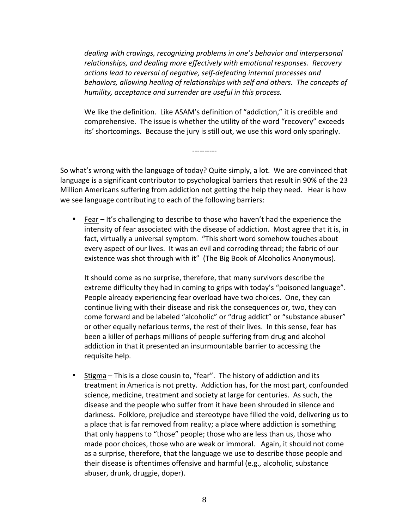*dealing* with cravings, recognizing problems in one's behavior and interpersonal relationships, and dealing more effectively with emotional responses. Recovery actions lead to reversal of negative, self-defeating internal processes and *behaviors, allowing healing of relationships with self and others. The concepts of* humility, acceptance and surrender are useful in this process.

We like the definition. Like ASAM's definition of "addiction," it is credible and comprehensive. The issue is whether the utility of the word "recovery" exceeds its' shortcomings. Because the jury is still out, we use this word only sparingly.

So what's wrong with the language of today? Quite simply, a lot. We are convinced that language is a significant contributor to psychological barriers that result in 90% of the 23 Million Americans suffering from addiction not getting the help they need. Hear is how we see language contributing to each of the following barriers:

----------

• Fear – It's challenging to describe to those who haven't had the experience the intensity of fear associated with the disease of addiction. Most agree that it is, in fact, virtually a universal symptom. "This short word somehow touches about every aspect of our lives. It was an evil and corroding thread; the fabric of our existence was shot through with it" (The Big Book of Alcoholics Anonymous).

It should come as no surprise, therefore, that many survivors describe the extreme difficulty they had in coming to grips with today's "poisoned language". People already experiencing fear overload have two choices. One, they can continue living with their disease and risk the consequences or, two, they can come forward and be labeled "alcoholic" or "drug addict" or "substance abuser" or other equally nefarious terms, the rest of their lives. In this sense, fear has been a killer of perhaps millions of people suffering from drug and alcohol addiction in that it presented an insurmountable barrier to accessing the requisite help.

• Stigma – This is a close cousin to, "fear". The history of addiction and its treatment in America is not pretty. Addiction has, for the most part, confounded science, medicine, treatment and society at large for centuries. As such, the disease and the people who suffer from it have been shrouded in silence and darkness. Folklore, prejudice and stereotype have filled the void, delivering us to a place that is far removed from reality; a place where addiction is something that only happens to "those" people; those who are less than us, those who made poor choices, those who are weak or immoral. Again, it should not come as a surprise, therefore, that the language we use to describe those people and their disease is oftentimes offensive and harmful (e.g., alcoholic, substance abuser, drunk, druggie, doper).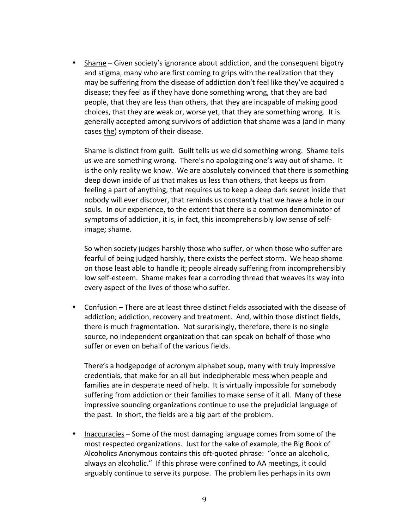• Shame – Given society's ignorance about addiction, and the consequent bigotry and stigma, many who are first coming to grips with the realization that they may be suffering from the disease of addiction don't feel like they've acquired a disease; they feel as if they have done something wrong, that they are bad people, that they are less than others, that they are incapable of making good choices, that they are weak or, worse yet, that they are something wrong. It is generally accepted among survivors of addiction that shame was a (and in many cases the) symptom of their disease.

Shame is distinct from guilt. Guilt tells us we did something wrong. Shame tells us we are something wrong. There's no apologizing one's way out of shame. It is the only reality we know. We are absolutely convinced that there is something deep down inside of us that makes us less than others, that keeps us from feeling a part of anything, that requires us to keep a deep dark secret inside that nobody will ever discover, that reminds us constantly that we have a hole in our souls. In our experience, to the extent that there is a common denominator of symptoms of addiction, it is, in fact, this incomprehensibly low sense of selfimage; shame.

So when society judges harshly those who suffer, or when those who suffer are fearful of being judged harshly, there exists the perfect storm. We heap shame on those least able to handle it; people already suffering from incomprehensibly low self-esteem. Shame makes fear a corroding thread that weaves its way into every aspect of the lives of those who suffer.

• Confusion – There are at least three distinct fields associated with the disease of addiction; addiction, recovery and treatment. And, within those distinct fields, there is much fragmentation. Not surprisingly, therefore, there is no single source, no independent organization that can speak on behalf of those who suffer or even on behalf of the various fields.

There's a hodgepodge of acronym alphabet soup, many with truly impressive credentials, that make for an all but indecipherable mess when people and families are in desperate need of help. It is virtually impossible for somebody suffering from addiction or their families to make sense of it all. Many of these impressive sounding organizations continue to use the prejudicial language of the past. In short, the fields are a big part of the problem.

• Inaccuracies – Some of the most damaging language comes from some of the most respected organizations. Just for the sake of example, the Big Book of Alcoholics Anonymous contains this oft-quoted phrase: "once an alcoholic, always an alcoholic." If this phrase were confined to AA meetings, it could arguably continue to serve its purpose. The problem lies perhaps in its own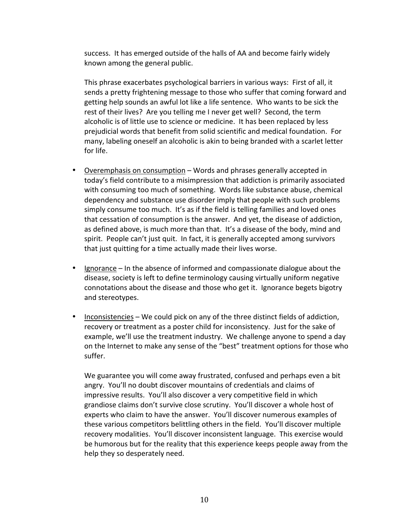success. It has emerged outside of the halls of AA and become fairly widely known among the general public.

This phrase exacerbates psychological barriers in various ways: First of all, it sends a pretty frightening message to those who suffer that coming forward and getting help sounds an awful lot like a life sentence. Who wants to be sick the rest of their lives? Are you telling me I never get well? Second, the term alcoholic is of little use to science or medicine. It has been replaced by less prejudicial words that benefit from solid scientific and medical foundation. For many, labeling oneself an alcoholic is akin to being branded with a scarlet letter for life.

- Overemphasis on consumption  $-$  Words and phrases generally accepted in today's field contribute to a misimpression that addiction is primarily associated with consuming too much of something. Words like substance abuse, chemical dependency and substance use disorder imply that people with such problems simply consume too much. It's as if the field is telling families and loved ones that cessation of consumption is the answer. And yet, the disease of addiction, as defined above, is much more than that. It's a disease of the body, mind and spirit. People can't just quit. In fact, it is generally accepted among survivors that just quitting for a time actually made their lives worse.
- Ignorance In the absence of informed and compassionate dialogue about the disease, society is left to define terminology causing virtually uniform negative connotations about the disease and those who get it. Ignorance begets bigotry and stereotypes.
- Inconsistencies We could pick on any of the three distinct fields of addiction, recovery or treatment as a poster child for inconsistency. Just for the sake of example, we'll use the treatment industry. We challenge anyone to spend a day on the Internet to make any sense of the "best" treatment options for those who suffer.

We guarantee you will come away frustrated, confused and perhaps even a bit angry. You'll no doubt discover mountains of credentials and claims of impressive results. You'll also discover a very competitive field in which grandiose claims don't survive close scrutiny. You'll discover a whole host of experts who claim to have the answer. You'll discover numerous examples of these various competitors belittling others in the field. You'll discover multiple recovery modalities. You'll discover inconsistent language. This exercise would be humorous but for the reality that this experience keeps people away from the help they so desperately need.